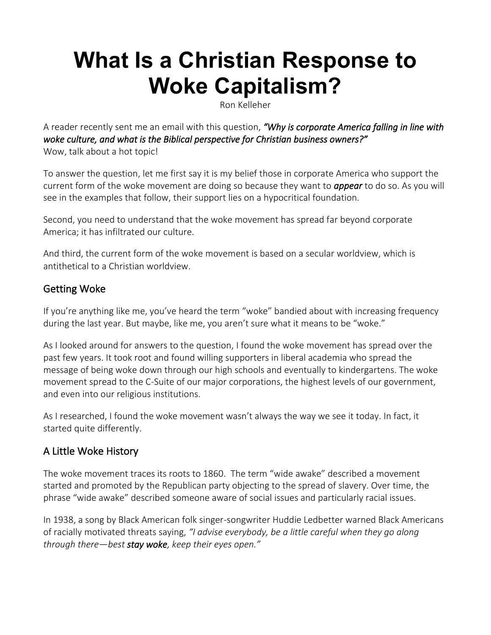# **[What Is a Christian Response to](https://ronkelleher.com/431-what-is-a-christian-response-to-woke-capitalism/)  [Woke Capitalism?](https://ronkelleher.com/431-what-is-a-christian-response-to-woke-capitalism/)**

Ron Kelleher

A reader recently sent me an email with this question, *"Why is corporate America falling in line with woke culture, and what is the Biblical perspective for Christian business owners?"* Wow, talk about a hot topic!

To answer the question, let me first say it is my belief those in corporate America who support the current form of the woke movement are doing so because they want to *appear* to do so. As you will see in the examples that follow, their support lies on a hypocritical foundation.

Second, you need to understand that the woke movement has spread far beyond corporate America; it has infiltrated our culture.

And third, the current form of the woke movement is based on a secular worldview, which is antithetical to a Christian worldview.

#### Getting Woke

If you're anything like me, you've heard the term "woke" bandied about with increasing frequency during the last year. But maybe, like me, you aren't sure what it means to be "woke."

As I looked around for answers to the question, I found the woke movement has spread over the past few years. It took root and found willing supporters in liberal academia who spread the message of being woke down through our high schools and eventually to kindergartens. The woke movement spread to the C-Suite of our major corporations, the highest levels of our government, and even into our religious institutions.

As I researched, I found the woke movement wasn't always the way we see it today. In fact, it started quite differently.

## A Little Woke History

The woke movement traces its roots to 1860. The term "[wide awake](https://en.wikipedia.org/wiki/Wide_Awakes)" described a movement started and promoted by the Republican party objecting to the spread of slavery. Over time, the phrase "wide awake" described someone aware of social issues and particularly racial issues.

In 1938, a song by Black American folk singer-songwriter Huddie Ledbetter warned Black Americans of racially motivated threats saying, *"I advise everybody, be a little careful when they go along through there—best stay woke, keep their eyes open."*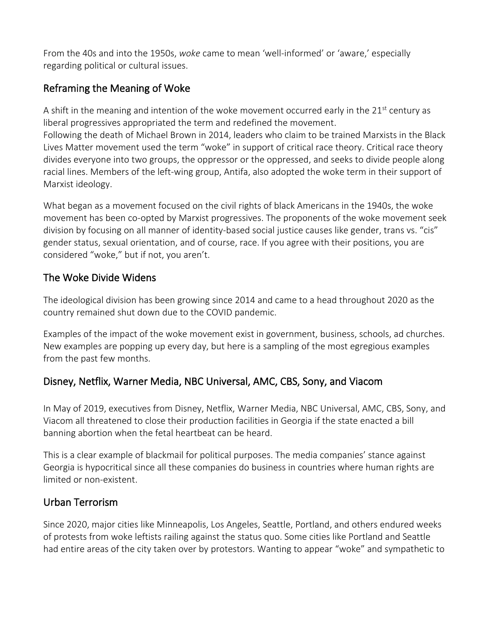From the 40s and into the 1950s, *woke* came to mean 'well-informed' or 'aware,' especially regarding political or cultural issues.

## Reframing the Meaning of Woke

A shift in the meaning and intention of the woke movement occurred early in the 21<sup>st</sup> century as liberal progressives appropriated the term and redefined the movement.

Following the death of Michael Brown in 2014, leaders who claim to be trained Marxists in the Black Lives Matter movement used the term "woke" in support of [critical race theory.](https://en.wikipedia.org/wiki/Critical_race_theory) Critical race theory divides everyone into two groups, the oppressor or the oppressed, and seeks to divide people along racial lines. Members of the left-wing group, [Antifa,](https://en.wikipedia.org/wiki/Antifa_(United_States)) also adopted the woke term in their support of Marxist ideology.

What began as a movement focused on the civil rights of black Americans in the 1940s, the woke movement has been co-opted by Marxist progressives. The proponents of the woke movement seek division by focusing on all manner of identity-based social justice causes like gender, trans vs. "cis" gender status, sexual orientation, and of course, race. If you agree with their positions, you are considered "woke," but if not, you aren't.

## The Woke Divide Widens

The ideological division has been growing since 2014 and came to a head throughout 2020 as the country remained shut down due to the COVID pandemic.

Examples of the impact of the woke movement exist in government, business, schools, ad churches. New examples are popping up every day, but here is a sampling of the most egregious examples from the past few months.

# Disney, Netflix, Warner Media, NBC Universal, AMC, CBS, Sony, and Viacom

In May of 2019, executives from Disney, Netflix, Warner Media, NBC Universal, AMC, CBS, Sony, and Viacom all threatened to close their production facilities in Georgia if the state enacted a bill banning abortion when the fetal heartbeat can be heard.

This is a clear example of blackmail for political purposes. The media companies' stance against Georgia is hypocritical since all these companies do business in countries where human rights are limited or non-existent.

# Urban Terrorism

Since 2020, major cities like Minneapolis, Los Angeles, Seattle, Portland, and others endured weeks of protests from woke leftists railing against the status quo. Some cities like Portland and Seattle had entire areas of the city taken over by [protestors.](https://en.wikipedia.org/wiki/List_of_George_Floyd_protests_in_the_United_States) Wanting to appear "woke" and sympathetic to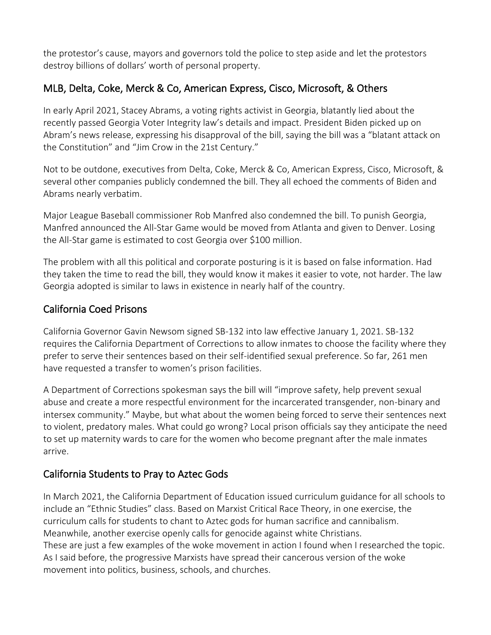the protestor's cause, mayors and governors told the police to step aside and let the protestors destroy billions of dollars' worth of personal property.

## MLB, Delta, Coke, Merck & Co, American Express, Cisco, Microsoft, & Others

In early April 2021, Stacey Abrams, a voting rights activist in Georgia, blatantly lied about the recently passed Georgia Voter Integrity law's details and impact. President Biden picked up on Abram's news release, expressing his disapproval of the bill, saying the bill was a "blatant attack on the Constitution" and "Jim Crow in the 21st Century."

Not to be outdone, executives from [Delta, Coke, Merck & Co, American Express, Cisco, Microsoft, &](https://www.axios.com/georgia-voting-restrictions-microsoft-corporations-57f321c3-f449-41c0-858e-02006d017768.html)  [several other companies](https://www.axios.com/georgia-voting-restrictions-microsoft-corporations-57f321c3-f449-41c0-858e-02006d017768.html) publicly condemned the bill. They all echoed the comments of Biden and Abrams nearly verbatim.

Major League Baseball commissioner [Rob Manfred](https://nypost.com/2021/04/10/mlb-swings-and-misses-in-political-debacle-to-move-all-star-game/) also condemned the bill. To punish Georgia, Manfred announced the All-Star Game would be moved from Atlanta and given to Denver. Losing the All-Star game is estimated to cost Georgia over \$100 million.

The problem with all this political and corporate posturing is it is based on false information. Had they taken the time to read the bill, they would know it makes it easier to vote, not harder. The law Georgia adopted is similar to laws in existence in nearly half of the country.

## California Coed Prisons

California Governor Gavin Newsom signed [SB-132](https://www.foxnews.com/us/california-allows-hundreds-of-transgender-inmates-to-request-transfers-to-prison-aligning-with-gender-identity) into law effective January 1, 2021. SB-132 requires the California Department of Corrections to allow inmates to choose the facility where they prefer to serve their sentences based on their self-identified sexual preference. So far, 261 men have requested a transfer to women's prison facilities.

A Department of Corrections spokesman says the bill will "improve safety, help prevent sexual abuse and create a more respectful environment for the incarcerated transgender, non-binary and intersex community." Maybe, but what about the women being forced to serve their sentences next to violent, predatory males. What could go wrong? Local prison officials say they anticipate the need to set up maternity wards to care for the women who become pregnant after the male inmates arrive.

## California Students to Pray to Aztec Gods

In March 2021, the [California Department of Education](https://www.city-journal.org/calif-ethnic-studies-curriculum-accuses-christianity-of-theocide) issued curriculum guidance for all schools to include an "Ethnic Studies" class. Based on Marxist Critical Race Theory, in one exercise, the curriculum calls for students to chant to Aztec gods for human sacrifice and cannibalism. Meanwhile, another exercise openly calls for genocide against white Christians. These are just a few examples of the woke movement in action I found when I researched the topic. As I said before, the progressive Marxists have spread their cancerous version of the woke movement into politics, business, schools, and churches.